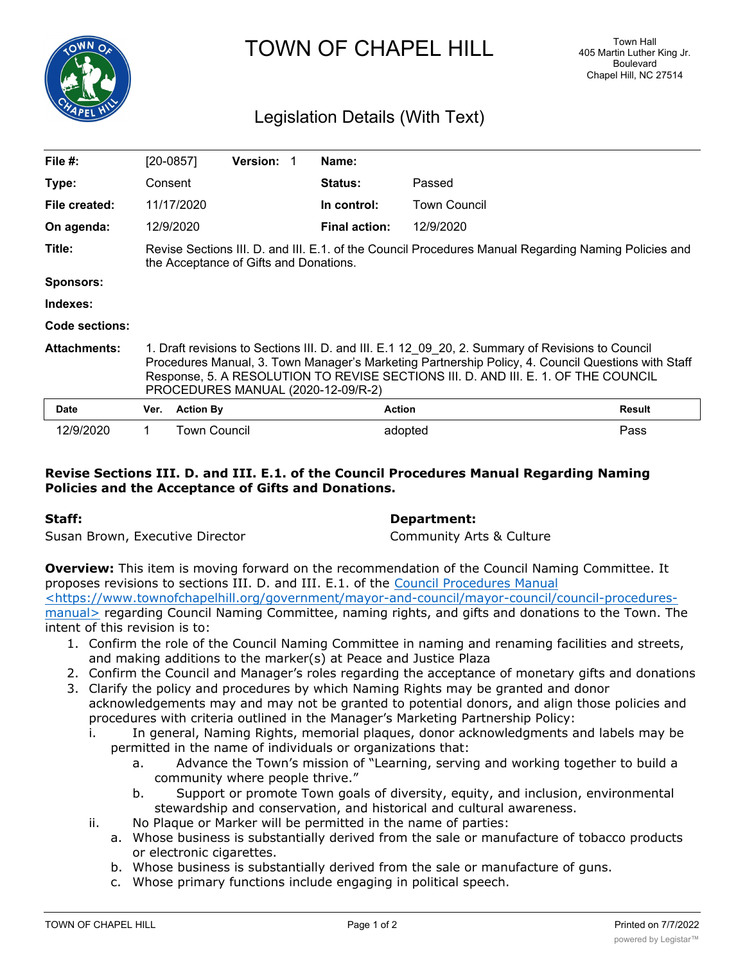

TOWN OF CHAPEL HILL

# Legislation Details (With Text)

| File $#$ :          |                                                                                                                                                                                                                                                                                                                                    | $[20-0857]$      | <b>Version:</b> | Name:                |                     |               |
|---------------------|------------------------------------------------------------------------------------------------------------------------------------------------------------------------------------------------------------------------------------------------------------------------------------------------------------------------------------|------------------|-----------------|----------------------|---------------------|---------------|
| Type:               | Consent                                                                                                                                                                                                                                                                                                                            |                  |                 | <b>Status:</b>       | Passed              |               |
| File created:       |                                                                                                                                                                                                                                                                                                                                    | 11/17/2020       |                 | In control:          | <b>Town Council</b> |               |
| On agenda:          |                                                                                                                                                                                                                                                                                                                                    | 12/9/2020        |                 | <b>Final action:</b> | 12/9/2020           |               |
| Title:              | Revise Sections III. D. and III. E.1. of the Council Procedures Manual Regarding Naming Policies and<br>the Acceptance of Gifts and Donations.                                                                                                                                                                                     |                  |                 |                      |                     |               |
| Sponsors:           |                                                                                                                                                                                                                                                                                                                                    |                  |                 |                      |                     |               |
| Indexes:            |                                                                                                                                                                                                                                                                                                                                    |                  |                 |                      |                     |               |
| Code sections:      |                                                                                                                                                                                                                                                                                                                                    |                  |                 |                      |                     |               |
| <b>Attachments:</b> | 1. Draft revisions to Sections III. D. and III. E.1 12 09 20, 2. Summary of Revisions to Council<br>Procedures Manual, 3. Town Manager's Marketing Partnership Policy, 4. Council Questions with Staff<br>Response, 5. A RESOLUTION TO REVISE SECTIONS III. D. AND III. E. 1. OF THE COUNCIL<br>PROCEDURES MANUAL (2020-12-09/R-2) |                  |                 |                      |                     |               |
| <b>Date</b>         | Ver.                                                                                                                                                                                                                                                                                                                               | <b>Action By</b> |                 |                      | <b>Action</b>       | <b>Result</b> |
| 12/9/2020           | 1.                                                                                                                                                                                                                                                                                                                                 | Town Council     |                 |                      | adopted             | Pass          |

### **Revise Sections III. D. and III. E.1. of the Council Procedures Manual Regarding Naming Policies and the Acceptance of Gifts and Donations.**

## **Staff: Department:** Susan Brown, Executive Director Community Arts & Culture

**Overview:** This item is moving forward on the recommendation of the Council Naming Committee. It proposes revisions to sections III. D. and III. E.1. of the Council Procedures Manual <https://www.townofchapelhill.org/government/mayor-and-council/mayor-council/council-proceduresmanual> regarding Council Naming Committee, naming rights, and gifts and donations to the Town. The intent of this revision is to:

- 1. Confirm the role of the Council Naming Committee in naming and renaming facilities and streets, and making additions to the marker(s) at Peace and Justice Plaza
- 2. Confirm the Council and Manager's roles regarding the acceptance of monetary gifts and donations 3. Clarify the policy and procedures by which Naming Rights may be granted and donor
- acknowledgements may and may not be granted to potential donors, and align those policies and procedures with criteria outlined in the Manager's Marketing Partnership Policy:
	- i. In general, Naming Rights, memorial plaques, donor acknowledgments and labels may be permitted in the name of individuals or organizations that:
		- a. Advance the Town's mission of "Learning, serving and working together to build a community where people thrive."
		- b. Support or promote Town goals of diversity, equity, and inclusion, environmental stewardship and conservation, and historical and cultural awareness.
	- ii. No Plaque or Marker will be permitted in the name of parties:
		- a. Whose business is substantially derived from the sale or manufacture of tobacco products or electronic cigarettes.
		- b. Whose business is substantially derived from the sale or manufacture of guns.
		- c. Whose primary functions include engaging in political speech.